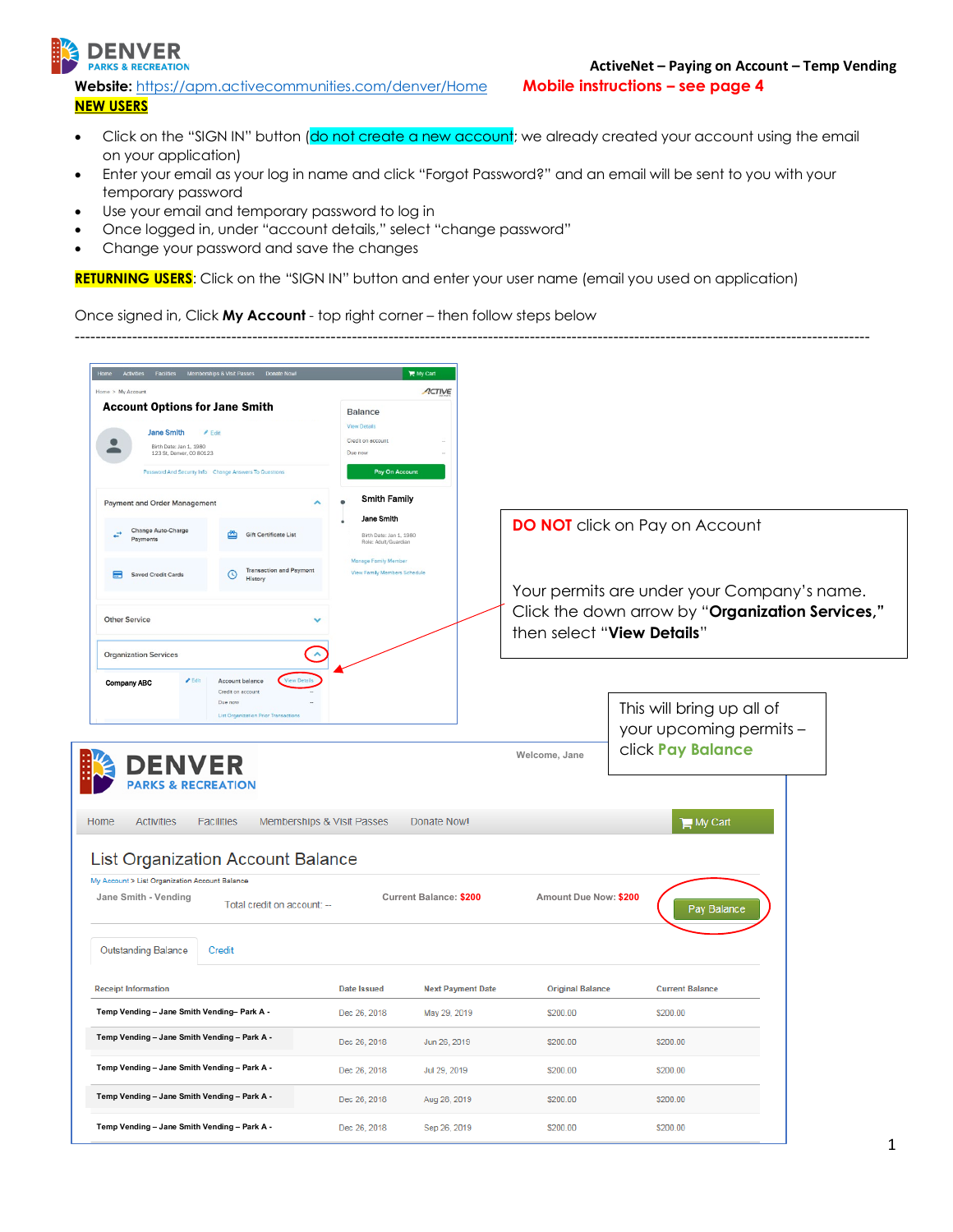

**Website:** <https://apm.activecommunities.com/denver/Home> **Mobile instructions – see page 4 NEW USERS**

• Click on the "SIGN IN" button (do not create a new account; we already created your account using the email on your application)

--------------------------------------------------------------------------------------------------------------------------------------------------------

- Enter your email as your log in name and click "Forgot Password?" and an email will be sent to you with your temporary password
- Use your email and temporary password to log in
- Once logged in, under "account details," select "change password"
- Change your password and save the changes

RETURNING USERS: Click on the "SIGN IN" button and enter your user name (email you used on application)

Once signed in, Click **My Account** - top right corner – then follow steps below

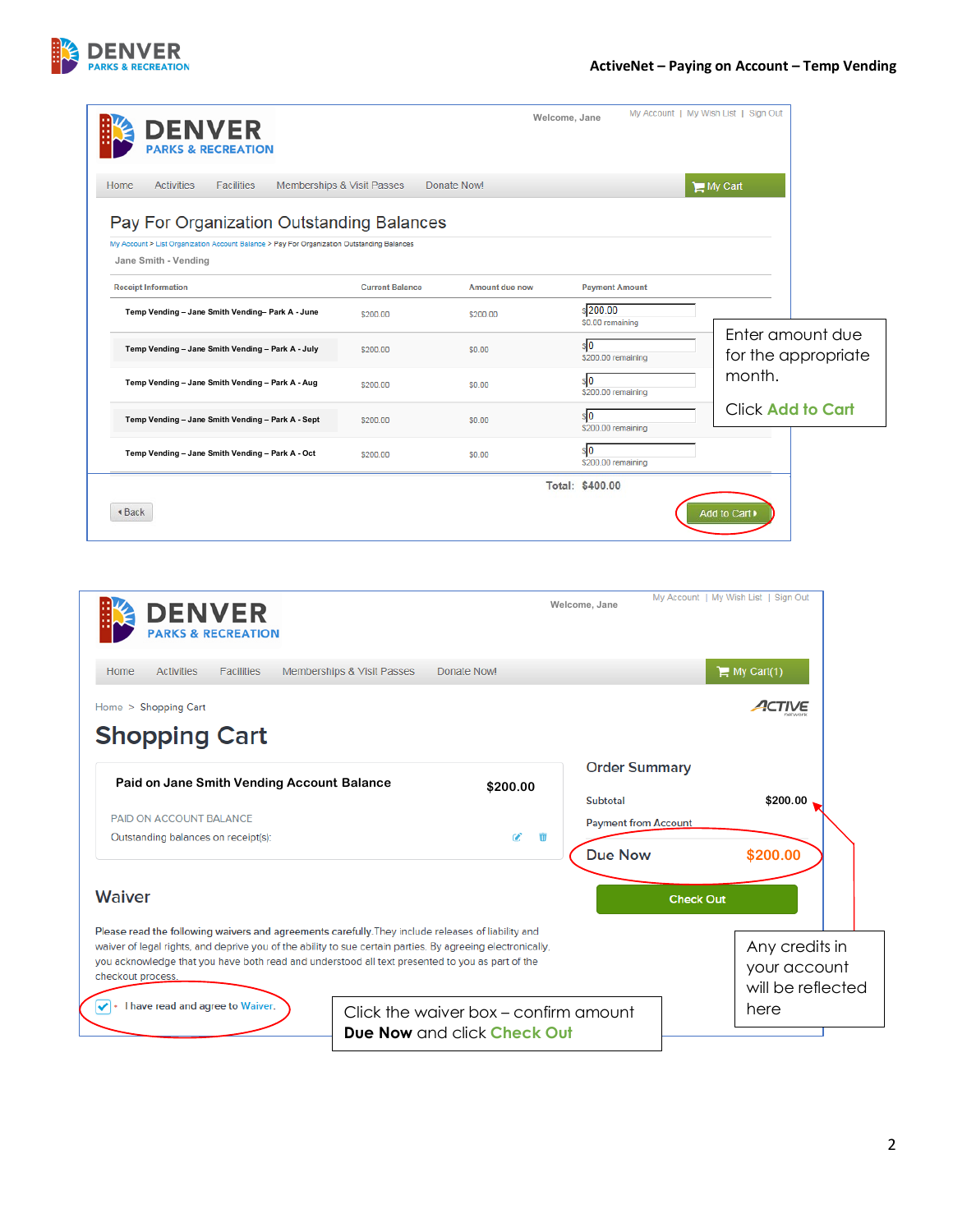

| <b>DENVER</b>                                                                                                                                                                                                                                                                                                                                                                                                                                                                                                                     |                                       |                |                                         |                                                     |
|-----------------------------------------------------------------------------------------------------------------------------------------------------------------------------------------------------------------------------------------------------------------------------------------------------------------------------------------------------------------------------------------------------------------------------------------------------------------------------------------------------------------------------------|---------------------------------------|----------------|-----------------------------------------|-----------------------------------------------------|
| Home<br><b>Activities</b><br><b>Facilities</b>                                                                                                                                                                                                                                                                                                                                                                                                                                                                                    | Memberships & Visit Passes            | Donate Now!    |                                         | My Cart                                             |
| Pay For Organization Outstanding Balances                                                                                                                                                                                                                                                                                                                                                                                                                                                                                         |                                       |                |                                         |                                                     |
| My Account > List Organization Account Balance > Pay For Organization Outstanding Balances<br>Jane Smith - Vending                                                                                                                                                                                                                                                                                                                                                                                                                |                                       |                |                                         |                                                     |
| <b>Receipt Information</b>                                                                                                                                                                                                                                                                                                                                                                                                                                                                                                        | <b>Current Balance</b>                | Amount due now | <b>Payment Amount</b>                   |                                                     |
| Temp Vending - Jane Smith Vending- Park A - June                                                                                                                                                                                                                                                                                                                                                                                                                                                                                  | \$200.00                              | \$200.00       | \$200.00<br>\$0.00 remaining            |                                                     |
| Temp Vending - Jane Smith Vending - Park A - July                                                                                                                                                                                                                                                                                                                                                                                                                                                                                 | \$200.00                              | \$0.00         | \$0<br>\$200.00 remaining               | Enter amount due<br>for the appropriate             |
| Temp Vending - Jane Smith Vending - Park A - Aug                                                                                                                                                                                                                                                                                                                                                                                                                                                                                  | \$200.00                              | \$0.00         | $\sqrt{3}$<br>\$200.00 remaining        | month.                                              |
| Temp Vending - Jane Smith Vending - Park A - Sept                                                                                                                                                                                                                                                                                                                                                                                                                                                                                 | \$200.00                              | \$0.00         | $\sqrt{3}$<br>\$200.00 remaining        | <b>Click Add to Cart</b>                            |
| Temp Vending - Jane Smith Vending - Park A - Oct                                                                                                                                                                                                                                                                                                                                                                                                                                                                                  | \$200.00                              | \$0.00         | \$O<br>\$200.00 remaining               |                                                     |
| <b>◆ Back</b>                                                                                                                                                                                                                                                                                                                                                                                                                                                                                                                     |                                       |                | Total: \$400.00                         | Add to Cart ▶                                       |
| <b>DENVER</b><br><b>CS &amp; RECREATION</b>                                                                                                                                                                                                                                                                                                                                                                                                                                                                                       |                                       |                | Welcome, Jane                           | My Account   My Wish List   Sign Out                |
| <b>Activities</b><br><b>Facilities</b>                                                                                                                                                                                                                                                                                                                                                                                                                                                                                            | <b>Memberships &amp; Visit Passes</b> | Donate Now!    |                                         | $\equiv$ My Cart(1)                                 |
|                                                                                                                                                                                                                                                                                                                                                                                                                                                                                                                                   |                                       |                |                                         | 1 IVE                                               |
|                                                                                                                                                                                                                                                                                                                                                                                                                                                                                                                                   |                                       |                |                                         |                                                     |
|                                                                                                                                                                                                                                                                                                                                                                                                                                                                                                                                   |                                       | \$200.00       | <b>Order Summary</b>                    |                                                     |
|                                                                                                                                                                                                                                                                                                                                                                                                                                                                                                                                   |                                       |                | Subtotal<br><b>Payment from Account</b> | \$200.00                                            |
|                                                                                                                                                                                                                                                                                                                                                                                                                                                                                                                                   |                                       | ø<br>Ŵ         | <b>Due Now</b>                          | \$200.00                                            |
|                                                                                                                                                                                                                                                                                                                                                                                                                                                                                                                                   |                                       |                |                                         | <b>Check Out</b>                                    |
| Home<br>Home > Shopping Cart<br><b>Shopping Cart</b><br>Paid on Jane Smith Vending Account Balance<br>PAID ON ACCOUNT BALANCE<br>Outstanding balances on receipt(s):<br><b>Waiver</b><br>Please read the following waivers and agreements carefully. They include releases of liability and<br>waiver of legal rights, and deprive you of the ability to sue certain parties. By agreeing electronically,<br>you acknowledge that you have both read and understood all text presented to you as part of the<br>checkout process. |                                       |                |                                         | Any credits in<br>your account<br>will be reflected |

**DENVER**<br>PARKS & RECREATION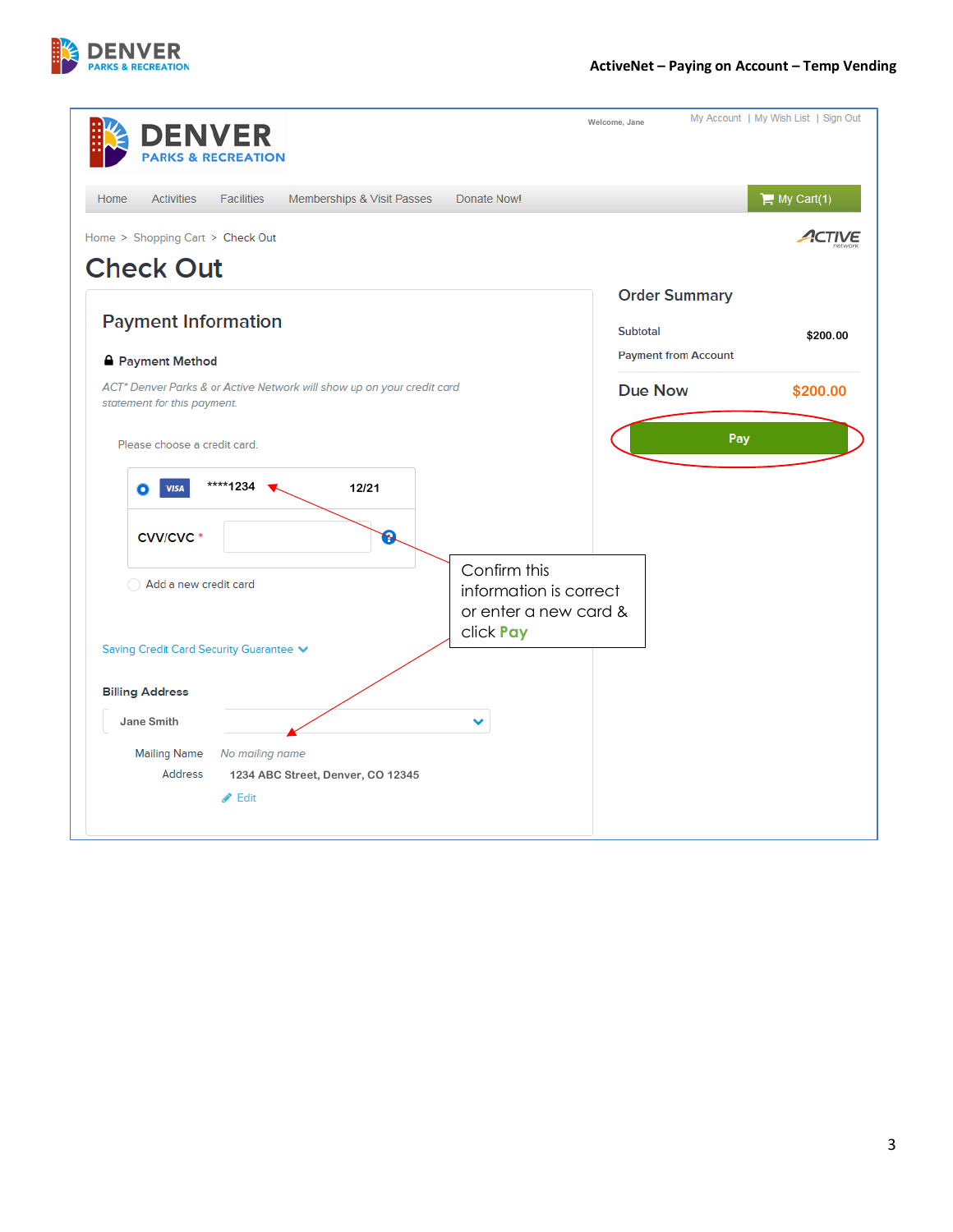

| <b>DENVER</b><br><b>PARKS &amp; RECREATION</b>                                                                                            | My Account   My Wish List   Sign Out<br>Welcome, Jane |
|-------------------------------------------------------------------------------------------------------------------------------------------|-------------------------------------------------------|
| <b>Activities</b><br>Home<br><b>Facilities</b><br>Memberships & Visit Passes<br>Donate Now!                                               | $\equiv$ My Cart(1)                                   |
| Home > Shopping Cart > Check Out<br><b>Check Out</b>                                                                                      |                                                       |
|                                                                                                                                           | <b>Order Summary</b>                                  |
| <b>Payment Information</b>                                                                                                                | Subtotal<br>\$200.00<br><b>Payment from Account</b>   |
| <b>A</b> Payment Method<br>ACT* Denver Parks & or Active Network will show up on your credit card                                         | <b>Due Now</b><br>\$200.00                            |
| Please choose a credit card.<br>****1234<br>12/21<br><b>VISA</b><br>O<br>R<br><b>CVV/CVC*</b>                                             | Pay<br>Confirm this                                   |
| Add a new credit card<br>click Pay<br>Saving Credit Card Security Guarantee V                                                             | information is correct<br>or enter a new card &       |
| <b>Billing Address</b>                                                                                                                    |                                                       |
| Jane Smith<br><b>Mailing Name</b><br>No mailing name<br><b>Address</b><br>1234 ABC Street, Denver, CO 12345<br>$\blacktriangleright$ Edit |                                                       |